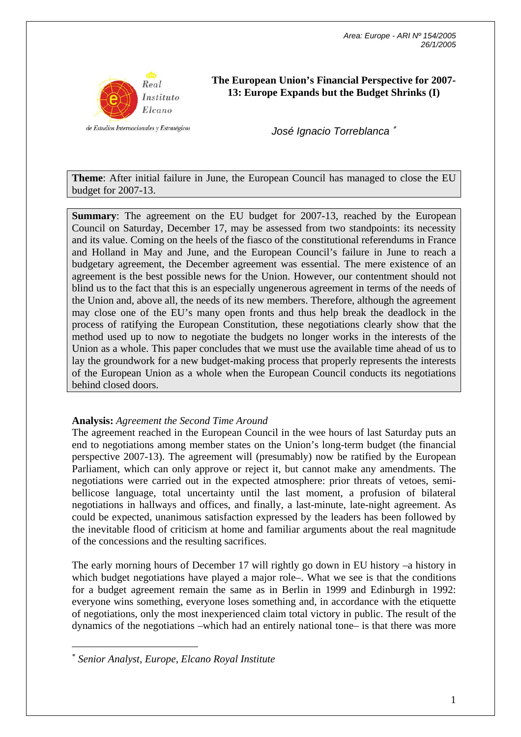

de Estudios Internacionales y Estratégicos

**The European Union's Financial Perspective for 2007- 13: Europe Expands but the Budget Shrinks (I)** 

*José Ignacio Torreblanca* <sup>∗</sup>

**Theme**: After initial failure in June, the European Council has managed to close the EU budget for 2007-13.

**Summary:** The agreement on the EU budget for 2007-13, reached by the European Council on Saturday, December 17, may be assessed from two standpoints: its necessity and its value. Coming on the heels of the fiasco of the constitutional referendums in France and Holland in May and June, and the European Council's failure in June to reach a budgetary agreement, the December agreement was essential. The mere existence of an agreement is the best possible news for the Union. However, our contentment should not blind us to the fact that this is an especially ungenerous agreement in terms of the needs of the Union and, above all, the needs of its new members. Therefore, although the agreement may close one of the EU's many open fronts and thus help break the deadlock in the process of ratifying the European Constitution, these negotiations clearly show that the method used up to now to negotiate the budgets no longer works in the interests of the Union as a whole. This paper concludes that we must use the available time ahead of us to lay the groundwork for a new budget-making process that properly represents the interests of the European Union as a whole when the European Council conducts its negotiations behind closed doors.

# **Analysis:** *Agreement the Second Time Around*

The agreement reached in the European Council in the wee hours of last Saturday puts an end to negotiations among member states on the Union's long-term budget (the financial perspective 2007-13). The agreement will (presumably) now be ratified by the European Parliament, which can only approve or reject it, but cannot make any amendments. The negotiations were carried out in the expected atmosphere: prior threats of vetoes, semibellicose language, total uncertainty until the last moment, a profusion of bilateral negotiations in hallways and offices, and finally, a last-minute, late-night agreement. As could be expected, unanimous satisfaction expressed by the leaders has been followed by the inevitable flood of criticism at home and familiar arguments about the real magnitude of the concessions and the resulting sacrifices.

The early morning hours of December 17 will rightly go down in EU history –a history in which budget negotiations have played a major role–. What we see is that the conditions for a budget agreement remain the same as in Berlin in 1999 and Edinburgh in 1992: everyone wins something, everyone loses something and, in accordance with the etiquette of negotiations, only the most inexperienced claim total victory in public. The result of the dynamics of the negotiations –which had an entirely national tone– is that there was more

 $\overline{a}$ 

<sup>∗</sup> *Senior Analyst, Europe, Elcano Royal Institute*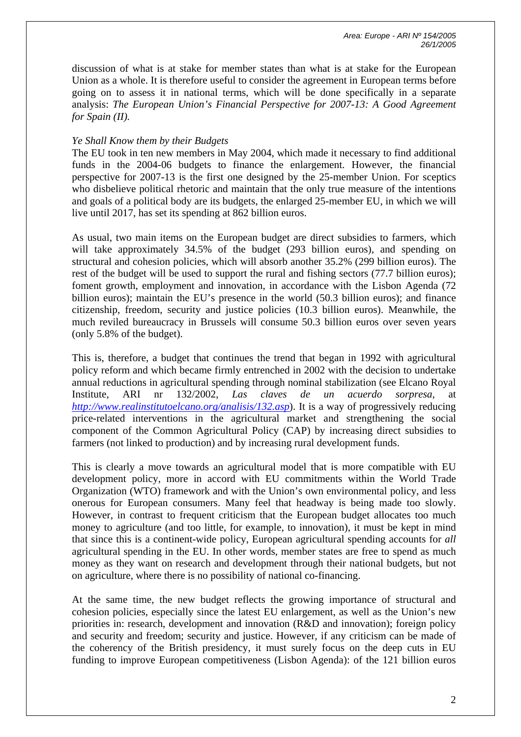discussion of what is at stake for member states than what is at stake for the European Union as a whole. It is therefore useful to consider the agreement in European terms before going on to assess it in national terms, which will be done specifically in a separate analysis: *The European Union's Financial Perspective for 2007-13: A Good Agreement for Spain (II).*

## *Ye Shall Know them by their Budgets*

The EU took in ten new members in May 2004, which made it necessary to find additional funds in the 2004-06 budgets to finance the enlargement. However, the financial perspective for 2007-13 is the first one designed by the 25-member Union. For sceptics who disbelieve political rhetoric and maintain that the only true measure of the intentions and goals of a political body are its budgets, the enlarged 25-member EU, in which we will live until 2017, has set its spending at 862 billion euros.

As usual, two main items on the European budget are direct subsidies to farmers, which will take approximately 34.5% of the budget (293 billion euros), and spending on structural and cohesion policies, which will absorb another 35.2% (299 billion euros). The rest of the budget will be used to support the rural and fishing sectors (77.7 billion euros); foment growth, employment and innovation, in accordance with the Lisbon Agenda (72 billion euros); maintain the EU's presence in the world (50.3 billion euros); and finance citizenship, freedom, security and justice policies (10.3 billion euros). Meanwhile, the much reviled bureaucracy in Brussels will consume 50.3 billion euros over seven years (only 5.8% of the budget).

This is, therefore, a budget that continues the trend that began in 1992 with agricultural policy reform and which became firmly entrenched in 2002 with the decision to undertake annual reductions in agricultural spending through nominal stabilization (see Elcano Royal Institute, ARI nr 132/2002, *Las claves de un acuerdo sorpresa*, at *http://www.realinstitutoelcano.org/analisis/132.asp*). It is a way of progressively reducing price-related interventions in the agricultural market and strengthening the social component of the Common Agricultural Policy (CAP) by increasing direct subsidies to farmers (not linked to production) and by increasing rural development funds.

This is clearly a move towards an agricultural model that is more compatible with EU development policy, more in accord with EU commitments within the World Trade Organization (WTO) framework and with the Union's own environmental policy, and less onerous for European consumers. Many feel that headway is being made too slowly. However, in contrast to frequent criticism that the European budget allocates too much money to agriculture (and too little, for example, to innovation), it must be kept in mind that since this is a continent-wide policy, European agricultural spending accounts for *all* agricultural spending in the EU. In other words, member states are free to spend as much money as they want on research and development through their national budgets, but not on agriculture, where there is no possibility of national co-financing.

At the same time, the new budget reflects the growing importance of structural and cohesion policies, especially since the latest EU enlargement, as well as the Union's new priorities in: research, development and innovation (R&D and innovation); foreign policy and security and freedom; security and justice. However, if any criticism can be made of the coherency of the British presidency, it must surely focus on the deep cuts in EU funding to improve European competitiveness (Lisbon Agenda): of the 121 billion euros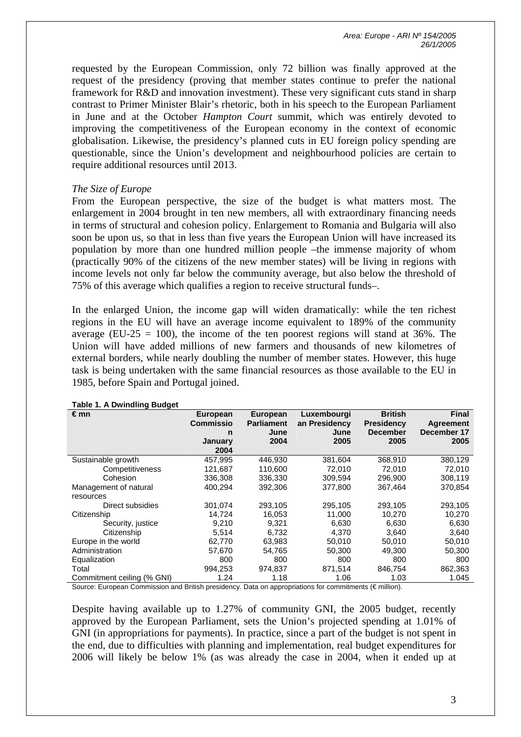*Area: Europe - ARI Nº 154/2005 26/1/2005* 

requested by the European Commission, only 72 billion was finally approved at the request of the presidency (proving that member states continue to prefer the national framework for R&D and innovation investment). These very significant cuts stand in sharp contrast to Primer Minister Blair's rhetoric, both in his speech to the European Parliament in June and at the October *Hampton Court* summit, which was entirely devoted to improving the competitiveness of the European economy in the context of economic globalisation. Likewise, the presidency's planned cuts in EU foreign policy spending are questionable, since the Union's development and neighbourhood policies are certain to require additional resources until 2013.

## *The Size of Europe*

From the European perspective, the size of the budget is what matters most. The enlargement in 2004 brought in ten new members, all with extraordinary financing needs in terms of structural and cohesion policy. Enlargement to Romania and Bulgaria will also soon be upon us, so that in less than five years the European Union will have increased its population by more than one hundred million people –the immense majority of whom (practically 90% of the citizens of the new member states) will be living in regions with income levels not only far below the community average, but also below the threshold of 75% of this average which qualifies a region to receive structural funds–.

In the enlarged Union, the income gap will widen dramatically: while the ten richest regions in the EU will have an average income equivalent to 189% of the community average (EU-25 = 100), the income of the ten poorest regions will stand at 36%. The Union will have added millions of new farmers and thousands of new kilometres of external borders, while nearly doubling the number of member states. However, this huge task is being undertaken with the same financial resources as those available to the EU in 1985, before Spain and Portugal joined.

| -- - - -<br>€mn            | <b>European</b><br><b>Commissio</b> | <b>European</b><br><b>Parliament</b> | Luxembourgi<br>an Presidency | <b>British</b><br><b>Presidency</b> | <b>Final</b><br>Agreement |
|----------------------------|-------------------------------------|--------------------------------------|------------------------------|-------------------------------------|---------------------------|
|                            | n                                   | June                                 | June                         | <b>December</b>                     | December 17               |
|                            | January                             | 2004                                 | 2005                         | 2005                                | 2005                      |
|                            | 2004                                |                                      |                              |                                     |                           |
| Sustainable growth         | 457,995                             | 446,930                              | 381,604                      | 368,910                             | 380,129                   |
| Competitiveness            | 121,687                             | 110,600                              | 72.010                       | 72,010                              | 72,010                    |
| Cohesion                   | 336,308                             | 336,330                              | 309.594                      | 296,900                             | 308,119                   |
| Management of natural      | 400.294                             | 392,306                              | 377,800                      | 367,464                             | 370,854                   |
| resources                  |                                     |                                      |                              |                                     |                           |
| Direct subsidies           | 301,074                             | 293,105                              | 295,105                      | 293,105                             | 293,105                   |
| Citizenship                | 14,724                              | 16,053                               | 11,000                       | 10,270                              | 10,270                    |
| Security, justice          | 9,210                               | 9.321                                | 6,630                        | 6,630                               | 6,630                     |
| Citizenship                | 5,514                               | 6,732                                | 4.370                        | 3,640                               | 3,640                     |
| Europe in the world        | 62,770                              | 63,983                               | 50,010                       | 50,010                              | 50,010                    |
| Administration             | 57,670                              | 54,765                               | 50,300                       | 49,300                              | 50,300                    |
| Equalization               | 800                                 | 800                                  | 800                          | 800                                 | 800                       |
| Total                      | 994,253                             | 974,837                              | 871,514                      | 846,754                             | 862,363                   |
| Commitment ceiling (% GNI) | 1.24                                | 1.18                                 | 1.06                         | 1.03                                | 1.045                     |

#### **Table 1. A Dwindling Budget**

Source: European Commission and British presidency. Data on appropriations for commitments (€ million).

Despite having available up to 1.27% of community GNI, the 2005 budget, recently approved by the European Parliament, sets the Union's projected spending at 1.01% of GNI (in appropriations for payments). In practice, since a part of the budget is not spent in the end, due to difficulties with planning and implementation, real budget expenditures for 2006 will likely be below 1% (as was already the case in 2004, when it ended up at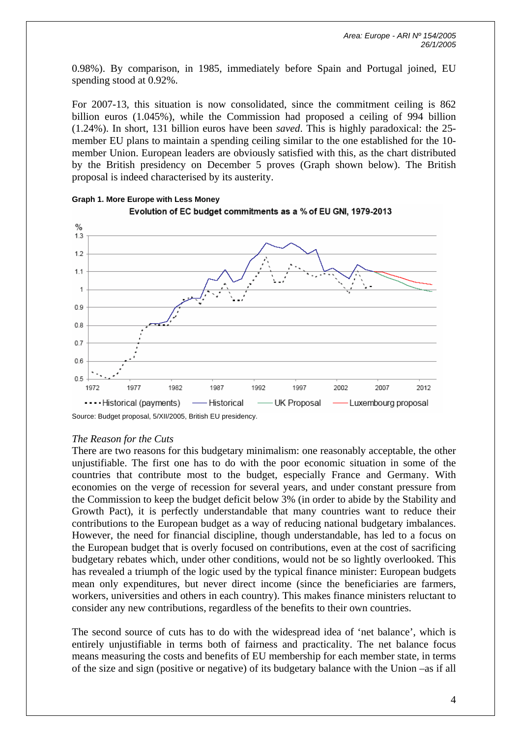0.98%). By comparison, in 1985, immediately before Spain and Portugal joined, EU spending stood at 0.92%.

For 2007-13, this situation is now consolidated, since the commitment ceiling is 862 billion euros (1.045%), while the Commission had proposed a ceiling of 994 billion (1.24%). In short, 131 billion euros have been *saved*. This is highly paradoxical: the 25 member EU plans to maintain a spending ceiling similar to the one established for the 10 member Union. European leaders are obviously satisfied with this, as the chart distributed by the British presidency on December 5 proves (Graph shown below). The British proposal is indeed characterised by its austerity.



# **Graph 1. More Europe with Less Money**

# *The Reason for the Cuts*

There are two reasons for this budgetary minimalism: one reasonably acceptable, the other unjustifiable. The first one has to do with the poor economic situation in some of the countries that contribute most to the budget, especially France and Germany. With economies on the verge of recession for several years, and under constant pressure from the Commission to keep the budget deficit below 3% (in order to abide by the Stability and Growth Pact), it is perfectly understandable that many countries want to reduce their contributions to the European budget as a way of reducing national budgetary imbalances. However, the need for financial discipline, though understandable, has led to a focus on the European budget that is overly focused on contributions, even at the cost of sacrificing budgetary rebates which, under other conditions, would not be so lightly overlooked. This has revealed a triumph of the logic used by the typical finance minister: European budgets mean only expenditures, but never direct income (since the beneficiaries are farmers, workers, universities and others in each country). This makes finance ministers reluctant to consider any new contributions, regardless of the benefits to their own countries.

The second source of cuts has to do with the widespread idea of 'net balance', which is entirely unjustifiable in terms both of fairness and practicality. The net balance focus means measuring the costs and benefits of EU membership for each member state, in terms of the size and sign (positive or negative) of its budgetary balance with the Union –as if all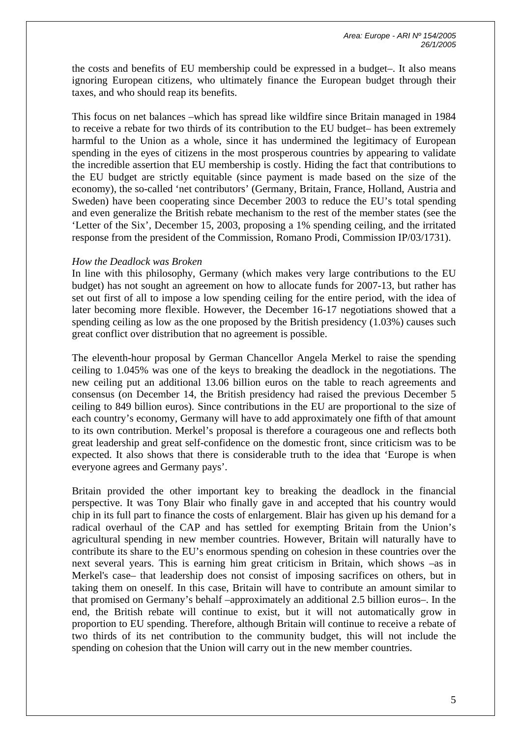the costs and benefits of EU membership could be expressed in a budget–. It also means ignoring European citizens, who ultimately finance the European budget through their taxes, and who should reap its benefits.

This focus on net balances –which has spread like wildfire since Britain managed in 1984 to receive a rebate for two thirds of its contribution to the EU budget– has been extremely harmful to the Union as a whole, since it has undermined the legitimacy of European spending in the eyes of citizens in the most prosperous countries by appearing to validate the incredible assertion that EU membership is costly. Hiding the fact that contributions to the EU budget are strictly equitable (since payment is made based on the size of the economy), the so-called 'net contributors' (Germany, Britain, France, Holland, Austria and Sweden) have been cooperating since December 2003 to reduce the EU's total spending and even generalize the British rebate mechanism to the rest of the member states (see the 'Letter of the Six', December 15, 2003, proposing a 1% spending ceiling, and the irritated response from the president of the Commission, Romano Prodi, Commission IP/03/1731).

## *How the Deadlock was Broken*

In line with this philosophy, Germany (which makes very large contributions to the EU budget) has not sought an agreement on how to allocate funds for 2007-13, but rather has set out first of all to impose a low spending ceiling for the entire period, with the idea of later becoming more flexible. However, the December 16-17 negotiations showed that a spending ceiling as low as the one proposed by the British presidency (1.03%) causes such great conflict over distribution that no agreement is possible.

The eleventh-hour proposal by German Chancellor Angela Merkel to raise the spending ceiling to 1.045% was one of the keys to breaking the deadlock in the negotiations. The new ceiling put an additional 13.06 billion euros on the table to reach agreements and consensus (on December 14, the British presidency had raised the previous December 5 ceiling to 849 billion euros). Since contributions in the EU are proportional to the size of each country's economy, Germany will have to add approximately one fifth of that amount to its own contribution. Merkel's proposal is therefore a courageous one and reflects both great leadership and great self-confidence on the domestic front, since criticism was to be expected. It also shows that there is considerable truth to the idea that 'Europe is when everyone agrees and Germany pays'.

Britain provided the other important key to breaking the deadlock in the financial perspective. It was Tony Blair who finally gave in and accepted that his country would chip in its full part to finance the costs of enlargement. Blair has given up his demand for a radical overhaul of the CAP and has settled for exempting Britain from the Union's agricultural spending in new member countries. However, Britain will naturally have to contribute its share to the EU's enormous spending on cohesion in these countries over the next several years. This is earning him great criticism in Britain, which shows –as in Merkel's case– that leadership does not consist of imposing sacrifices on others, but in taking them on oneself. In this case, Britain will have to contribute an amount similar to that promised on Germany's behalf –approximately an additional 2.5 billion euros–. In the end, the British rebate will continue to exist, but it will not automatically grow in proportion to EU spending. Therefore, although Britain will continue to receive a rebate of two thirds of its net contribution to the community budget, this will not include the spending on cohesion that the Union will carry out in the new member countries.